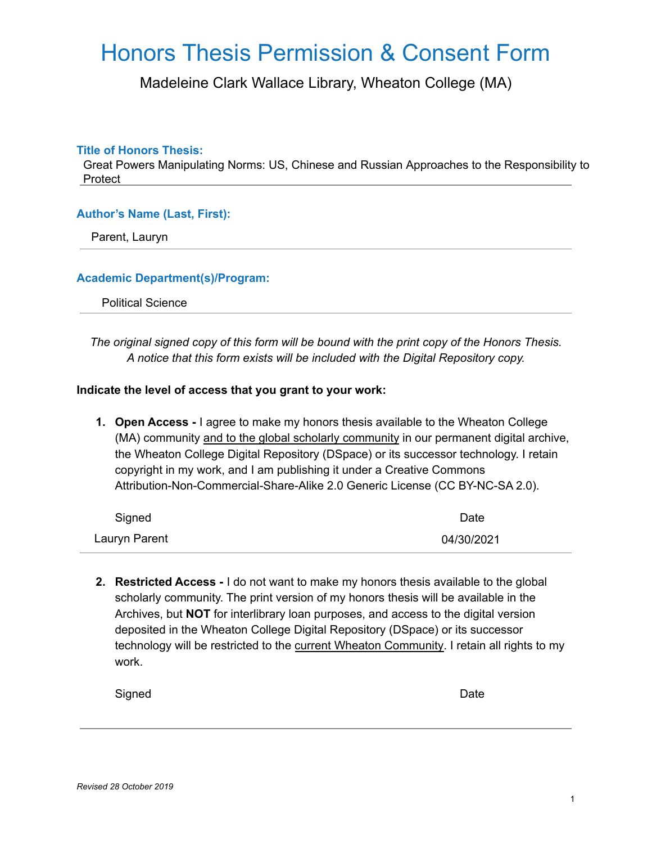## Honors Thesis Permission & Consent Form

Madeleine Clark Wallace Library, Wheaton College (MA)

#### **Title of Honors Thesis:**

Great Powers Manipulating Norms: US, Chinese and Russian Approaches to the Responsibility to Protect

#### **Author's Name (Last, First):**

Parent, Lauryn

#### **Academic Department(s)/Program:**

Political Science

*The original signed copy of this form will be bound with the print copy of the Honors Thesis. A notice that this form exists will be included with the Digital Repository copy.*

#### **Indicate the level of access that you grant to your work:**

**1. Open Access -** I agree to make my honors thesis available to the Wheaton College (MA) community and to the global scholarly community in our permanent digital archive, the Wheaton College Digital Repository (DSpace) or its successor technology. I retain copyright in my work, and I am publishing it under a Creative Commons Attribution-Non-Commercial-Share-Alike 2.0 Generic License (CC BY-NC-SA 2.0).

| Signed        | Date       |
|---------------|------------|
| Lauryn Parent | 04/30/2021 |

**2. Restricted Access -** I do not want to make my honors thesis available to the global scholarly community. The print version of my honors thesis will be available in the Archives, but **NOT** for interlibrary loan purposes, and access to the digital version deposited in the Wheaton College Digital Repository (DSpace) or its successor technology will be restricted to the current Wheaton Community. I retain all rights to my work.

| Signed |  |  | Date |
|--------|--|--|------|
|--------|--|--|------|